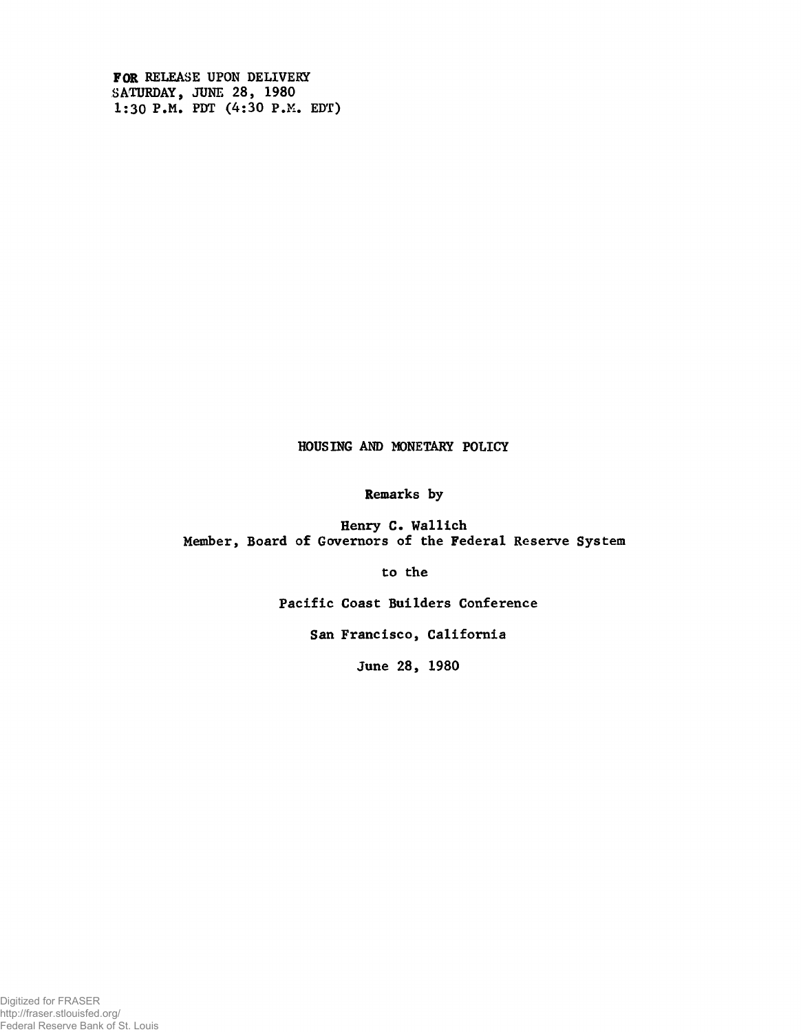FOR RELEASE UPON DELIVERY SATURDAY, JUNE 28, 1980 1:30 P.M. PDT (4:30 P.M. EDT)

# HOUSING AND MONETARY POLICY

Remarks by

Henry C. Wallich Member, Board of Governors of the Federal Reserve System

to the

Pacific Coast Builders Conference

San Francisco, California

June 28, 1980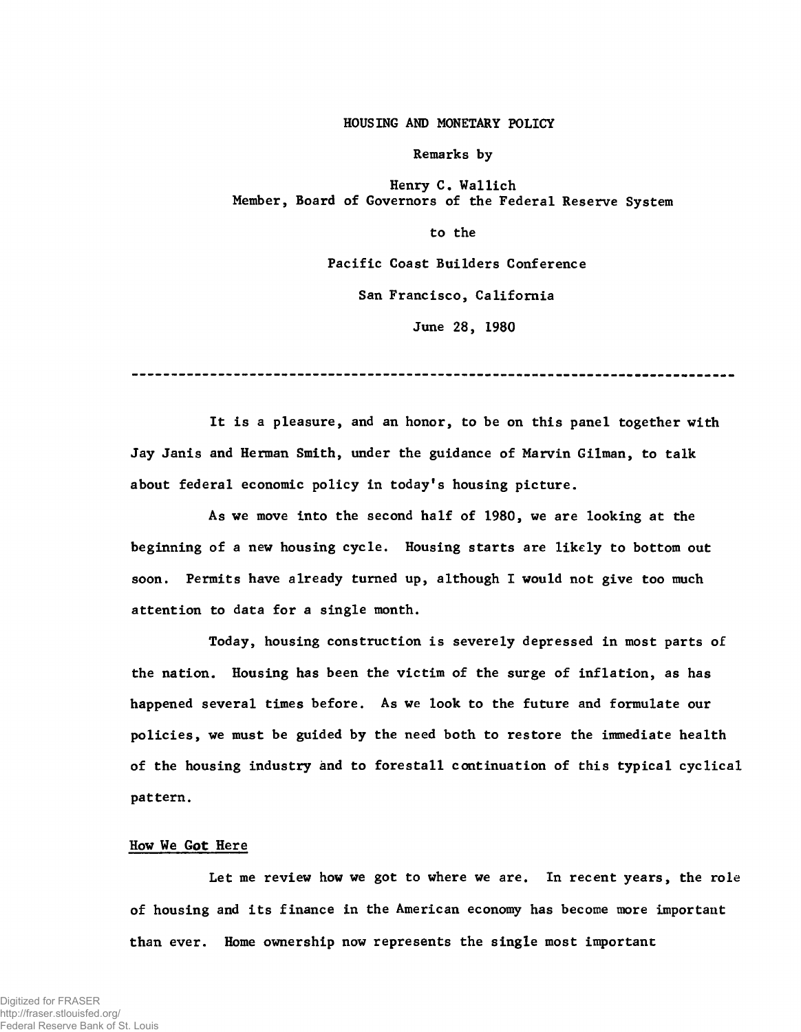#### HOUSING AND MONETARY POLICY

Remarks by

Henry C. Wallich Member, Board of Governors of the Federal Reserve System

to the

Pacific Coast Builders Conference

San Francisco, California

June 28, 1980

It is a pleasure, and an honor, to be on this panel together with Jay Janis and Herman Smith, under the guidance of Marvin Gilman, to talk about federal economic policy in today's housing picture.

As we move into the second half of 1980, we are looking at the beginning of a new housing cycle. Housing starts are likely to bottom out soon. Permits have already turned up, although I would not give too much attention to data for a single month.

Today, housing construction is severely depressed in most parts of the nation. Housing has been the victim of the surge of inflation, as has happened several times before. As we look to the future and formulate our policies, we must be guided by the need both to restore the immediate health of the housing industry and to forestall continuation of this typical cyclical pattern.

# How We Got Here

Let me review how we got to where we are. In recent years, the role of housing and its finance in the American economy has become more important than ever. Home ownership now represents the single most important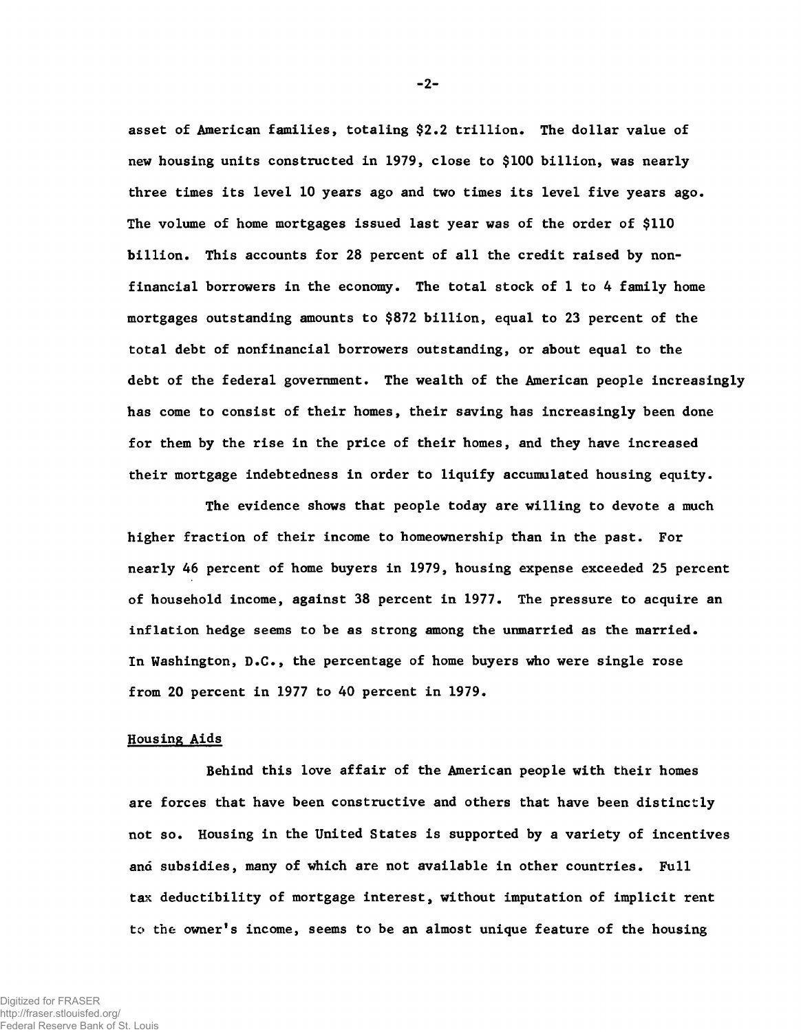asset of American families, totaling \$2.2 trillion. The dollar value of new housing units constructed in 1979, close to \$100 billion, was nearly three times its level 10 years ago and two times its level five years ago. The volume of home mortgages issued last year was of the order of \$110 billion. This accounts for 28 percent of all the credit raised by nonfinancial borrowers in the economy. The total stock of 1 to 4 family home mortgages outstanding amounts to \$872 billion, equal to 23 percent of the total debt of nonfinancial borrowers outstanding, or about equal to the debt of the federal government. The wealth of the American people increasingly has come to consist of their homes, their saving has increasingly been done for them by the rise in the price of their homes, and they have increased their mortgage indebtedness in order to liquify accumulated housing equity.

The evidence shows that people today are willing to devote a much higher fraction of their income to homeownership than in the past. For nearly 46 percent of home buyers in 1979, housing expense exceeded 25 percent of household income, against 38 percent in 1977. The pressure to acquire an inflation hedge seems to be as strong among the unmarried as the married. In Washington, D.C., the percentage of home buyers who were single rose from 20 percent in 1977 to 40 percent in 1979.

### Housing Aids

Behind this love affair of the American people with their homes are forces that have been constructive and others that have been distinctly not so. Housing in the United States is supported by a variety of incentives and subsidies, many of which are not available in other countries. Full tax deductibility of mortgage interest, without imputation of implicit rent to the owner's income, seems to be an almost unique feature of the housing

-2-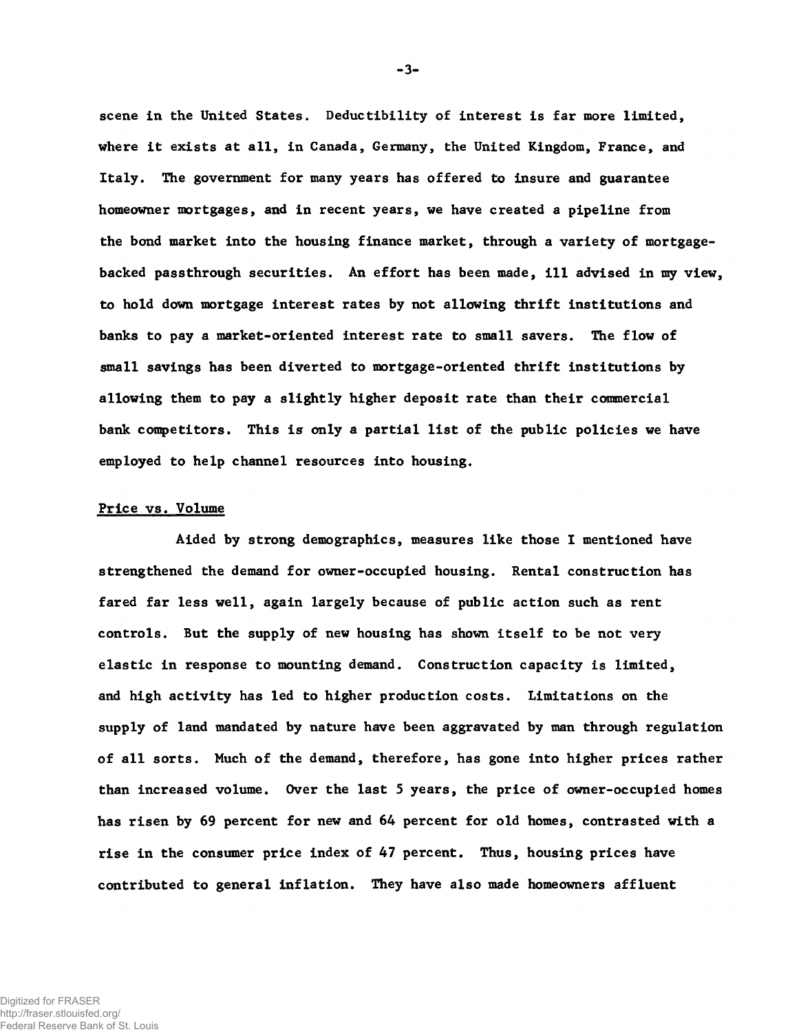scene in the United States. Deductibility of interest is far more limited, where it exists at all, in Canada, Germany, the United Kingdom, France, and Italy. The government for many years has offered to insure and guarantee homeowner mortgages, and in recent years, we have created a pipeline from the bond market into the housing finance market, through a variety of mortgagebacked passthrough securities. An effort has been made, ill advised in my view, to hold down mortgage interest rates by not allowing thrift institutions and banks to pay a market-oriented interest rate to small savers. The flow of small savings has been diverted to mortgage-oriented thrift institutions by allowing them to pay a slightly higher deposit rate than their commercial bank competitors. This is only a partial list of the public policies we have employed to help channel resources into housing.

#### Price vs. Volume

Aided by strong demographics, measures like those I mentioned have strengthened the demand for owner-occupied housing. Rental construction has fared far less well, again largely because of public action such as rent controls. But the supply of new housing has shown itself to be not very elastic in response to mounting demand. Construction capacity is limited, and high activity has led to higher production costs. Limitations on the supply of land mandated by nature have been aggravated by man through regulation of all sorts. Much of the demand, therefore, has gone into higher prices rather than increased volume. Over the last 5 years, the price of owner-occupied homes has risen by 69 percent for new and 64 percent for old homes, contrasted with a rise in the consumer price index of 47 percent. Thus, housing prices have contributed to general inflation. They have also made homeowners affluent

 $-3-$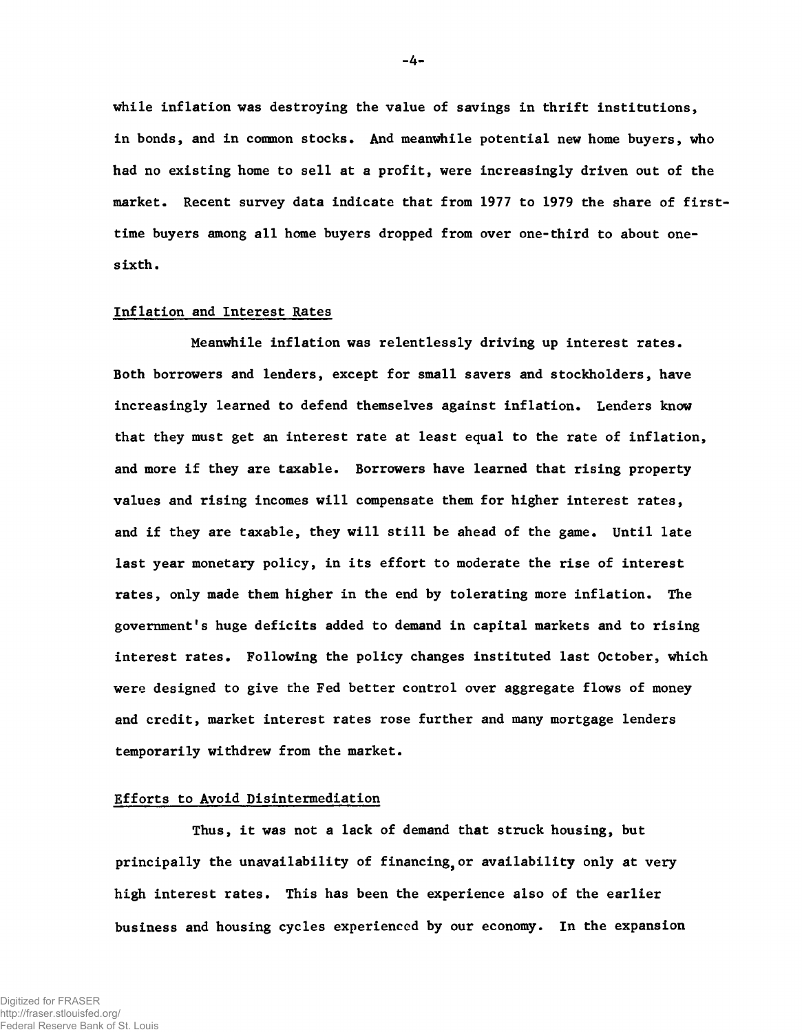while inflation was destroying the value of savings in thrift institutions, in bonds, and in common stocks. And meanwhile potential new home buyers, who had no existing home to sell at a profit, were increasingly driven out of the market. Recent survey data indicate that from 1977 to 1979 the share of firsttime buyers among all home buyers dropped from over one-third to about onesixth.

# Inflation and Interest Rates

Meanwhile inflation was relentlessly driving up interest rates. Both borrowers and lenders, except for small savers and stockholders, have increasingly learned to defend themselves against inflation. Lenders know that they must get an interest rate at least equal to the rate of inflation, and more if they are taxable. Borrowers have learned that rising property values and rising incomes will compensate them for higher interest rates, and if they are taxable, they will still be ahead of the game. Until late last year monetary policy, in its effort to moderate the rise of interest rates, only made them higher in the end by tolerating more inflation. The government's huge deficits added to demand in capital markets and to rising interest rates. Following the policy changes instituted last October, which were designed to give the Fed better control over aggregate flows of money and credit, market interest rates rose further and many mortgage lenders temporarily withdrew from the market.

#### Efforts to Avoid Disintermediation

Thus, it was not a lack of demand that struck housing, but principally the unavailability of financing, or availability only at very high interest rates. This has been the experience also of the earlier business and housing cycles experienced by our economy. In the expansion

Digitized for FRASER http://fraser.stlouisfed.org/ Federal Reserve Bank of St. Louis -4-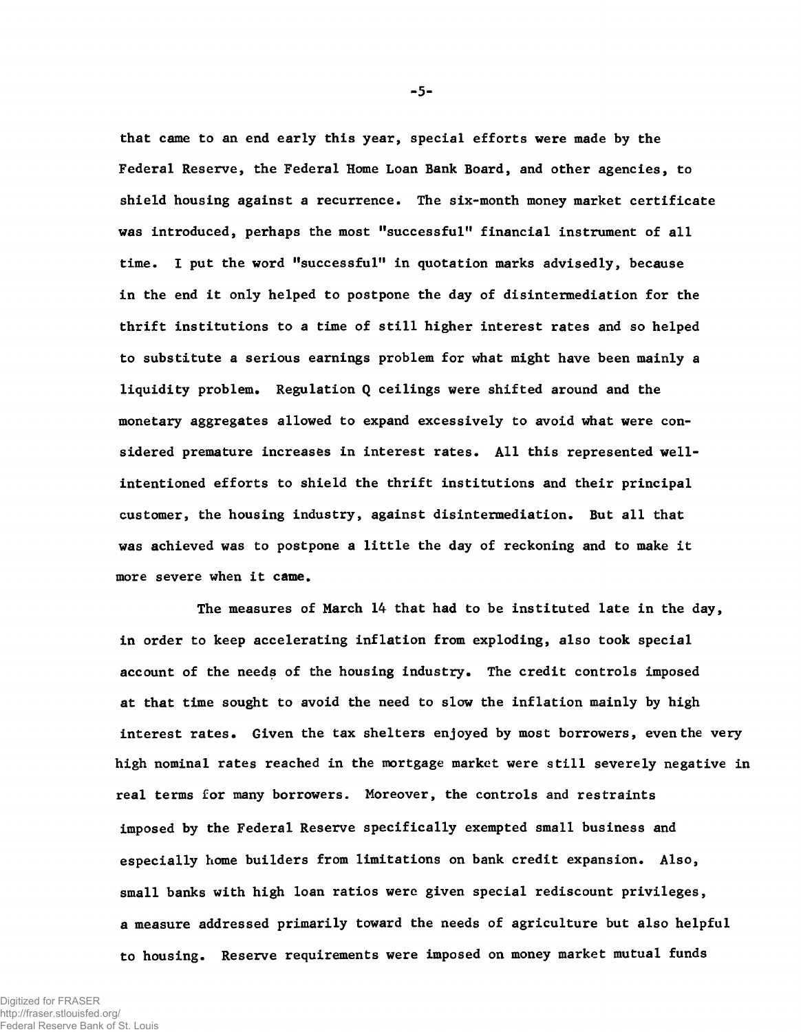that came to an end early this year, special efforts were made by the Federal Reserve, the Federal Home Loan Bank Board, and other agencies, to shield housing against a recurrence. The six-month money market certificate was introduced, perhaps the most "successful" financial instrument of all time. I put the word "successful" in quotation marks advisedly, because in the end it only helped to postpone the day of disintermediation for the thrift institutions to a time of still higher interest rates and so helped to substitute a serious earnings problem for what might have been mainly a liquidity problem. Regulation Q ceilings were shifted around and the monetary aggregates allowed to expand excessively to avoid what were considered premature increases in interest rates. All this represented wellintentioned efforts to shield the thrift institutions and their principal customer, the housing industry, against disintermediation. But all that was achieved was to postpone a little the day of reckoning and to make it more severe when it came.

The measures of March 14 that had to be instituted late in the day, in order to keep accelerating inflation from exploding, also took special account of the needs of the housing industry. The credit controls imposed at that time sought to avoid the need to slow the inflation mainly by high interest rates. Given the tax shelters enjoyed by most borrowers, even the very high nominal rates reached in the mortgage market were still severely negative in real terms for many borrowers. Moreover, the controls and restraints imposed by the Federal Reserve specifically exempted small business and especially home builders from limitations on bank credit expansion. Also, small banks with high loan ratios were given special rediscount privileges, a measure addressed primarily toward the needs of agriculture but also helpful to housing. Reserve requirements were imposed on money market mutual funds

-5-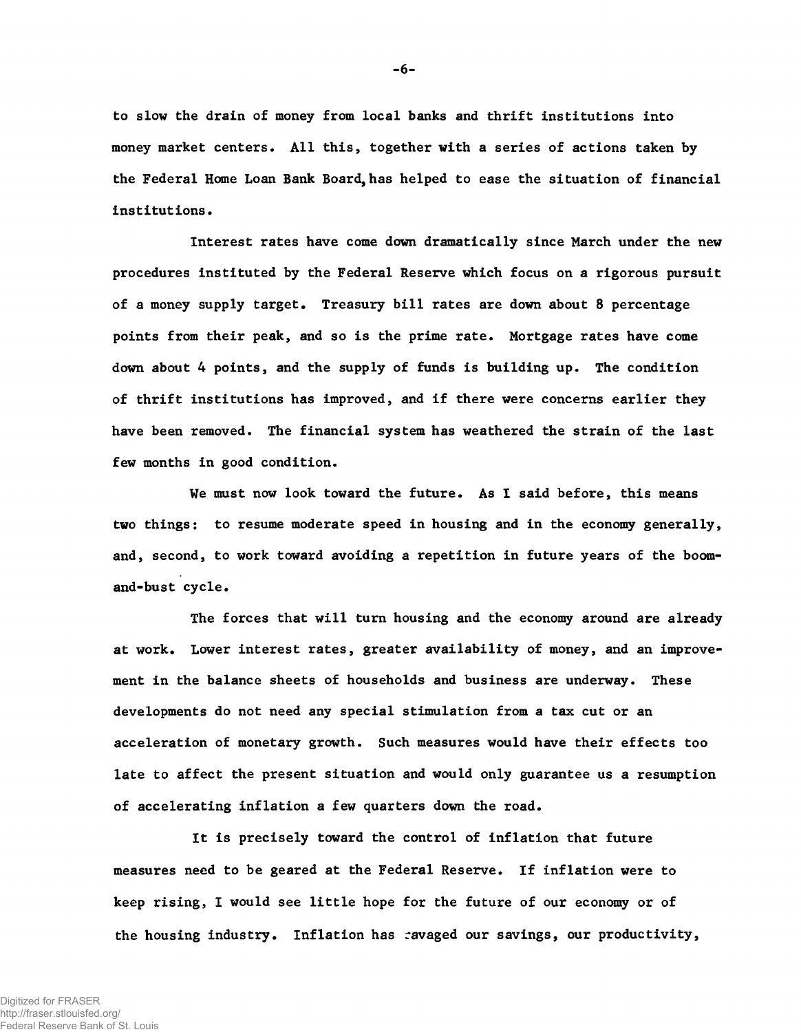to slow the drain of money from local banks and thrift institutions into money market centers. All this, together with a series of actions taken by the Federal Home Loan Bank Board, has helped to ease the situation of financial institutions.

Interest rates have come down dramatically since March under the new procedures instituted by the Federal Reserve which focus on a rigorous pursuit of a money supply target. Treasury bill rates are down about 8 percentage points from their peak, and so is the prime rate. Mortgage rates have come down about 4 points, and the supply of funds is building up. The condition of thrift institutions has improved, and if there were concerns earlier they have been removed. The financial system has weathered the strain of the last few months in good condition.

We must now look toward the future. As I said before, this means two things: to resume moderate speed in housing and in the economy generally, and, second, to work toward avoiding a repetition in future years of the boomand-bust cycle.

The forces that will turn housing and the economy around are already at work. Lower interest rates, greater availability of money, and an improvement in the balance sheets of households and business are underway. These developments do not need any special stimulation from a tax cut or an acceleration of monetary growth. Such measures would have their effects too late to affect the present situation and would only guarantee us a resumption of accelerating inflation a few quarters down the road.

It is precisely toward the control of inflation that future measures need to be geared at the Federal Reserve. If inflation were to keep rising, I would see little hope for the future of our economy or of the housing industry. Inflation has ravaged our savings, our productivity,

**- 6-**